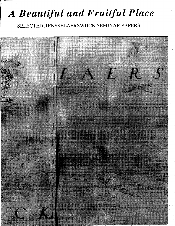# A Beautiful and Fruitful Place

SELECTED RENSSELAERSWIJCK SEMINAR PAPERS

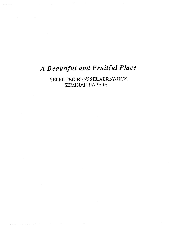# A Beautiful and Fruitful Place

 $\mathcal{L}_{\text{max}}$  and  $\mathcal{L}_{\text{max}}$  . The  $\mathcal{L}_{\text{max}}$ 

**Carl Committee** 

 $\mathcal{L}^{\text{max}}_{\text{max}}$  , where  $\mathcal{L}^{\text{max}}_{\text{max}}$ 

SELECTED RENSSELAERSWIJCK SEMINAR PAPERS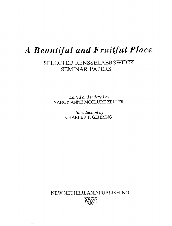# A Beautiful and Fruitful Place

## SELECTED RENSSELAERSWIJCK **SEMINAR PAPERS**

Edited and indexed by NANCY ANNE MCCLURE ZELLER

> Introduction by CHARLES T. GEHRING

NEW NETHERLAND PUBLISHING

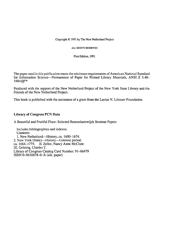#### Copyright © 1991 by The New Netherland Project

ALL RIGHTS RESERVED

First Edition, 1991

The paper used in this publication meets the minimum requirements of American National Standard for Information Science-Permanence of Paper for Printed Library Materials, ANSI Z 3.48- 1984@TM

Produced with the support of the New Netherland Project of the New York State Library and the Friends of the New Netherland Project.

This book is published with the assistance of a grant from the Lucius N. Littauer Foundation.

#### Library of Congress PCN Data

A Beautiful and Fruitful Place: Selected Rensselaerswijck Seminar Papers

Includes bibliographies and indexes. Contents: 1. New Netherland—History, ca. 1600–1674. 2. New York (State)-History-Colonial period, ca. 1664-1775. II. Zeller, Nancy Anne McClure III. Gehring, Charles T. Library of Congress Catalog Card Number: 91-66479 ISBN 0-9630678-O-X (alk. paper)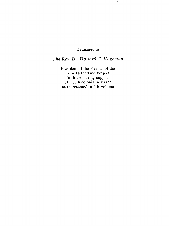### Dedicated to

### The Rev. Dr. Howard G. Hageman

President of the Friends of the New Netherland Project for his enduring support of Dutch colonial research as represented in this volume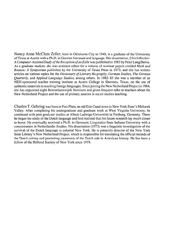Nancy Anne McClure Zeller, born in Oklahoma City in 1948, is a graduate of the University of Texas at Austin with a Ph.D. in German literature and language. Her dissertation, Ulrich Becher: A Computer-Assisted Study of the Reception of an Exile was published in 1983 by Peter Lang/Berne. As a graduate student, she was assistant editor for a volume of seminar papers entitled Myth and Reason: A Symposium published by the University of Texas Press in 1973; and she has written articles on various topics for the Dictionary of Literary Biography, German Studies, The German Quarterly, and Applied Language Studies, among others. In 1982-83 she was a member of an NEH-sponsored teacher training institute at Austin College in Sherman, Texas, on the use of authentic materials in teaching foreign languages. Since joining the New Netherland Project in 1984, she has organized eight Rensselaerswijck Seminars and given frequent talks to teachers about the New Netherland Project and the use of primary sources in social studies teaching.

Charles T. Gehring was born in Fort Plain, an old Erie Canal town in New York State"s Mohawk Valley. After completing his undergraduate and graduate work at West Virginia University, he continued with post graduate studies at Albert-Ludwigs-Universitat in Freiburg, Germany. There he began his study of the Dutch language and first realized that his future research lay much closer to home. He eventually received a Ph.D. in Germanic Linguistics from Indiana University with a concentration in Netherlandic Studies. His dissertation (1973) was a linguistic investigation of the survival of the Dutch language in colonial New York. He is presently director of the New York State Library's New Netherland Project, which is responsible for translating the official records of the Dutch colony and promoting awareness of the Dutch role in American history. He has been a fellow of the Holland Society of New York since 1979.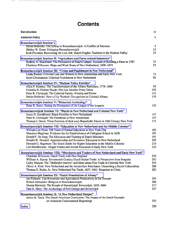## **Contents**

 $\frac{1}{2} \frac{1}{2} \frac{1}{2} \frac{1}{2} \frac{1}{2} \frac{1}{2} \frac{1}{2} \frac{1}{2} \frac{1}{2} \frac{1}{2} \frac{1}{2} \frac{1}{2} \frac{1}{2} \frac{1}{2} \frac{1}{2} \frac{1}{2} \frac{1}{2} \frac{1}{2} \frac{1}{2} \frac{1}{2} \frac{1}{2} \frac{1}{2} \frac{1}{2} \frac{1}{2} \frac{1}{2} \frac{1}{2} \frac{1}{2} \frac{1}{2} \frac{1}{2} \frac{1}{2} \frac{1}{2} \frac{$ 

 $\bar{\beta}$ 

 $\overline{\phantom{a}}$ 

| Introduction                                                                                                                                                                                                                                                                                                                                                                                                                                                                                                                                            | ix                                     |
|---------------------------------------------------------------------------------------------------------------------------------------------------------------------------------------------------------------------------------------------------------------------------------------------------------------------------------------------------------------------------------------------------------------------------------------------------------------------------------------------------------------------------------------------------------|----------------------------------------|
| <b>Editorial Policy</b>                                                                                                                                                                                                                                                                                                                                                                                                                                                                                                                                 | x                                      |
| Rensselaerswijck Seminar I<br>Stefan Bielinski: The Schout in Rensselaerswijck: A Conflict of Interests<br>Shirley W. Dunn: Enlarging Rensselaerswijck<br>Ruth Piwonka: Recovering the Lost Ark: Dutch Graphic Tradition in the Hudson Valley                                                                                                                                                                                                                                                                                                           | 3<br>13<br>23                          |
| Rensselaerswijck Seminar II: "Agriculture and Farm-related Industries"<br>Roderic H. Blackburn: The Persistence of Dutch Culture: Account of Building a Farm in 1787<br>Charlotte Wilcoxen: Ships and Work Boats of New Netherland, 1609-1674                                                                                                                                                                                                                                                                                                           | 37<br>53                               |
| Rensselaerswijck Seminar III: "Crime and Punishment in New Netherland"<br>Linda Biemer: Criminal Law and Women in New Amsterdam and Early New York<br>Scott Christianson: Criminal Punishment in New Netherland                                                                                                                                                                                                                                                                                                                                         | 73<br>83                               |
| Rensselaerswijck Seminar IV: "Hudson Valley Families"<br>Alice P. Kenney: The Transformation of the Albany Patricians, 1778-1860<br>Cornelia H. Frisbee Houde: Not Just Another Pretty Dress<br>Peter R. Christoph: The Colonial Family: Kinship and Power<br>Stefan Bielinski: How a City Worked: Occupations in Colonial Albany                                                                                                                                                                                                                       | 93<br>103<br>111<br>119                |
| Rensselaerswijck Seminar V: "Historical Archeology"<br>Dean R. Snow: Dating the Emergence of the League of the Iroquois                                                                                                                                                                                                                                                                                                                                                                                                                                 | 139                                    |
| Rensselaerswijcsk Seminar VI: "Blacks in New Netherland and Colonial New York"<br>Joyce D. Goodfriend: Black Families in New Netherland<br>Peter R. Christoph: The Freedmen of New Amsterdam<br>Thomas J. Davis: These Enemies of their own Household: Slaves in 18th Century New York                                                                                                                                                                                                                                                                  | 147<br>157<br>171                      |
| Rensselaerswijck Seminar VII: "Education in New Netherland and the Middle Colonies"<br>William Lee Frost: 356 Years of Formal Education in New York City<br>Massimo Maglione: Evidence for the Establishment of Collegiate School in 1628<br>Gerald F. De Jong: The Education and Training of Dutch Ministers<br>Ronald W. Howard: Apprenticeship and Economic Education in New Netherland<br>Howard G. Hageman: The Dutch Battle for Higher Education in the Middle Colonies<br>Lco Hershkowitz: Abigail Franks and Jewish Education in Early New York | 183<br>187<br>191<br>205<br>219<br>225 |
| Rensselaerswijck Seminar VIII: "Merchants and Traders of New Netherland and Early New York"<br>Charlotte Wilcoxen: Dutch Trade with New England<br>William A. Starna: Seventeenth Century Dutch-Indian Trade: A Perspective from Iroquoia<br>Cathy Matson: The "Hollander Interest" and Ideas about Free Trade in Colonial New York<br>Oliver A. Rink: New Netherland and the Amsterdam Merchants: Unraveling a Secret Colonialism<br>Thomas E. Burke, Jr.: New Netherland Fur Trade, 1657–1661: Response to Crisis                                     | 235<br>243<br>251<br>269<br>283        |
| Rensselaerswijck Seminar IX: "Dutch Foundations of Albany"<br>Jan Folkerts: Van Rensselaer and Agricultural Productivity in his Domain<br>Robert Alexander: Religion in Rensselaerswijck<br>Donna Merwick: The Rituals of Handelstijd: Beverwijck, 1652-1664<br>Paul R. Huey: The Archeology of Fort Orange and Beverwijck                                                                                                                                                                                                                              | 295<br>309<br>317<br>327               |
| Rensselaerswijck Seminar X: "A New Netherland Hutspot"<br>James R. Tanis: The Dutch-American Connection: The Impact of the Dutch Example<br>on American Constitutional Beginnings                                                                                                                                                                                                                                                                                                                                                                       | 353                                    |
| Index                                                                                                                                                                                                                                                                                                                                                                                                                                                                                                                                                   | 359                                    |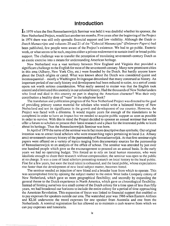### Introduction

In 1979 when the first Rensselaerswijck Seminar was held it was doubtful whether its sponsor, the New Netherland Project, would last another ten months. Five years after the beginning of the Project in 1974 there was still only sporadic financial support and low visibility. Although the Guide to Dutch Manuscripts and volumes 20 and 21 of the "Colonial Manuscripts" (Delaware Papers) had been published, few people were aware of the Project's existence. We had to go public. Esoteric work, or what seems to be such, requires either a private endowment to sustain itself or broad public support. The challenge was to transfer the perception of translating seventeenth-century Dutch as an exotic exercise into a means for understanding American heritage.

New Netherland was a vast territory between New England and Virginia that provided a significant challenge to the English for most of the seventeenth century. Many now prominent cities in this area (Albany, New York City, etc.) were founded by the Dutch. But hardly anyone knew about the Dutch origins or cared. What was known about the Dutch was considered quaint and inconsequential-mostly a Washington Irvingesque dreamland that many construed as history. An important period of our early history and development had been reduced to satire, to a sort of comic opera not worth serious consideration. What really seemed to matter was that the English took control and eliminated this anomaly in our colonial history. Had the thousands of New Netherlanders who lived and died in this country no part in shaping the American character? Was their only contribution a healthy dose of "vans" in the telephone book?

The translation and publication program of the New Netherland Project was directed to the goal of providing primary source material for scholars who would write a balanced history of New Netherland and test its significance in the growth and development of our country. However, the Project was faced with a dilemma. It would require years for enough of the translations to be completed in order to have an impact but we needed to acquire public support as soon as possible in order to survive. With this in mind the Project decided to sponsor an annual seminar that would offer a forum to scholars to present their latest research and a place for the interested public to learn about its heritage. Thus the Rensselaerswijck Seminar was born.

In April of 1979 the name of the seminar was in fact more descriptive than symbolic. Our original intention was to attract local scholars who were researching topics pertaining to local (i.e. Albany area) seventeenth-century history of the patroonship of Rensselaerswijck. At that first seminar eight papers were offered on a variety of topics ranging from documentary sources for the patroonship of Rensselaerswijck to an analysis of the office of schout. The seminar was attended by just over one hundred people which gave us the encouragement to proceed on an annual basis. In the early years we had no operating budget. This forced us to rely on local human resources, who were idealistic enough to share their research without compensation; the seminar was open to the public at no charge. It was a case of local scholars presenting research on local history to the local public. Fine for a few years, but soon the local talent is exhausted, and the local public, whose expectations rise faster than the development of new local subject matter, becomes bored.

The seminar needed an injection of new blood and a broader base from which to operate. This was accomplished first by opening the subject matter to the entire West India Company colony of New Netherland, which gave us more geographical flexibility; and secondly by expanding the general theme to the Dutch experience in North America, which gave us chronological flexibility. Instead of limiting ourselves to a small comer of the Dutch colony for a time span of less than fifty years, we had broadened our horizons to include the entire colony for a period of time approaching the American Revolution. This expansion of focus was linked to financial support that enabled us to pay expenses for speakers outside our area. The watershed year was 1986 when Eastern Airlines and KLM underwrote the travel expenses for one speaker from Australia and one from the Netherlands. A nominal registration fee has allowed us to maintain a cash reserve from which we can pay expenses and honoraria.